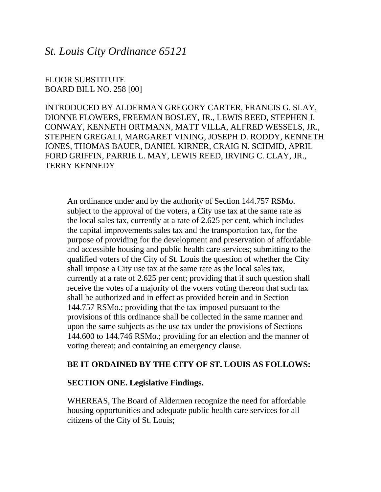*St. Louis City Ordinance 65121*

FLOOR SUBSTITUTE BOARD BILL NO. 258 [00]

INTRODUCED BY ALDERMAN GREGORY CARTER, FRANCIS G. SLAY, DIONNE FLOWERS, FREEMAN BOSLEY, JR., LEWIS REED, STEPHEN J. CONWAY, KENNETH ORTMANN, MATT VILLA, ALFRED WESSELS, JR., STEPHEN GREGALI, MARGARET VINING, JOSEPH D. RODDY, KENNETH JONES, THOMAS BAUER, DANIEL KIRNER, CRAIG N. SCHMID, APRIL FORD GRIFFIN, PARRIE L. MAY, LEWIS REED, IRVING C. CLAY, JR., TERRY KENNEDY

An ordinance under and by the authority of Section 144.757 RSMo. subject to the approval of the voters, a City use tax at the same rate as the local sales tax, currently at a rate of 2.625 per cent, which includes the capital improvements sales tax and the transportation tax, for the purpose of providing for the development and preservation of affordable and accessible housing and public health care services; submitting to the qualified voters of the City of St. Louis the question of whether the City shall impose a City use tax at the same rate as the local sales tax, currently at a rate of 2.625 per cent; providing that if such question shall receive the votes of a majority of the voters voting thereon that such tax shall be authorized and in effect as provided herein and in Section 144.757 RSMo.; providing that the tax imposed pursuant to the provisions of this ordinance shall be collected in the same manner and upon the same subjects as the use tax under the provisions of Sections 144.600 to 144.746 RSMo.; providing for an election and the manner of voting thereat; and containing an emergency clause.

## **BE IT ORDAINED BY THE CITY OF ST. LOUIS AS FOLLOWS:**

## **SECTION ONE. Legislative Findings.**

WHEREAS, The Board of Aldermen recognize the need for affordable housing opportunities and adequate public health care services for all citizens of the City of St. Louis;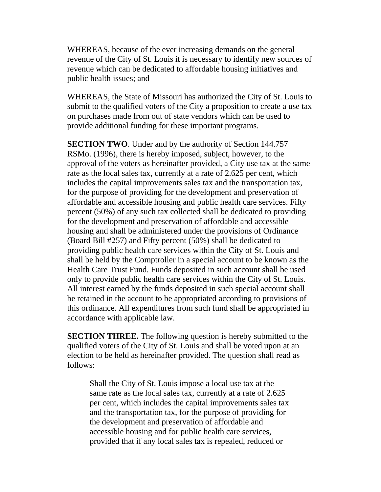WHEREAS, because of the ever increasing demands on the general revenue of the City of St. Louis it is necessary to identify new sources of revenue which can be dedicated to affordable housing initiatives and public health issues; and

WHEREAS, the State of Missouri has authorized the City of St. Louis to submit to the qualified voters of the City a proposition to create a use tax on purchases made from out of state vendors which can be used to provide additional funding for these important programs.

**SECTION TWO**. Under and by the authority of Section 144.757 RSMo. (1996), there is hereby imposed, subject, however, to the approval of the voters as hereinafter provided, a City use tax at the same rate as the local sales tax, currently at a rate of 2.625 per cent, which includes the capital improvements sales tax and the transportation tax, for the purpose of providing for the development and preservation of affordable and accessible housing and public health care services. Fifty percent (50%) of any such tax collected shall be dedicated to providing for the development and preservation of affordable and accessible housing and shall be administered under the provisions of Ordinance (Board Bill #257) and Fifty percent (50%) shall be dedicated to providing public health care services within the City of St. Louis and shall be held by the Comptroller in a special account to be known as the Health Care Trust Fund. Funds deposited in such account shall be used only to provide public health care services within the City of St. Louis. All interest earned by the funds deposited in such special account shall be retained in the account to be appropriated according to provisions of this ordinance. All expenditures from such fund shall be appropriated in accordance with applicable law.

**SECTION THREE.** The following question is hereby submitted to the qualified voters of the City of St. Louis and shall be voted upon at an election to be held as hereinafter provided. The question shall read as follows:

Shall the City of St. Louis impose a local use tax at the same rate as the local sales tax, currently at a rate of 2.625 per cent, which includes the capital improvements sales tax and the transportation tax, for the purpose of providing for the development and preservation of affordable and accessible housing and for public health care services, provided that if any local sales tax is repealed, reduced or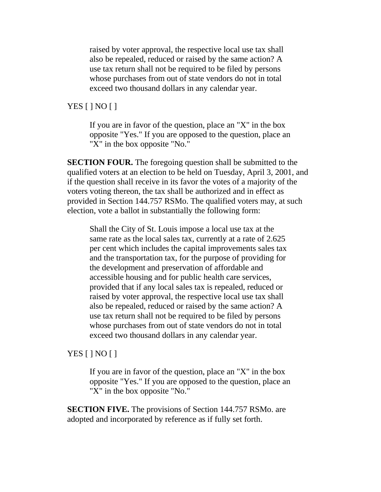raised by voter approval, the respective local use tax shall also be repealed, reduced or raised by the same action? A use tax return shall not be required to be filed by persons whose purchases from out of state vendors do not in total exceed two thousand dollars in any calendar year.

## YES [ ] NO [ ]

If you are in favor of the question, place an "X" in the box opposite "Yes." If you are opposed to the question, place an "X" in the box opposite "No."

**SECTION FOUR.** The foregoing question shall be submitted to the qualified voters at an election to be held on Tuesday, April 3, 2001, and if the question shall receive in its favor the votes of a majority of the voters voting thereon, the tax shall be authorized and in effect as provided in Section 144.757 RSMo. The qualified voters may, at such election, vote a ballot in substantially the following form:

Shall the City of St. Louis impose a local use tax at the same rate as the local sales tax, currently at a rate of 2.625 per cent which includes the capital improvements sales tax and the transportation tax, for the purpose of providing for the development and preservation of affordable and accessible housing and for public health care services, provided that if any local sales tax is repealed, reduced or raised by voter approval, the respective local use tax shall also be repealed, reduced or raised by the same action? A use tax return shall not be required to be filed by persons whose purchases from out of state vendors do not in total exceed two thousand dollars in any calendar year.

## YES [ ] NO [ ]

If you are in favor of the question, place an "X" in the box opposite "Yes." If you are opposed to the question, place an "X" in the box opposite "No."

**SECTION FIVE.** The provisions of Section 144.757 RSMo. are adopted and incorporated by reference as if fully set forth.